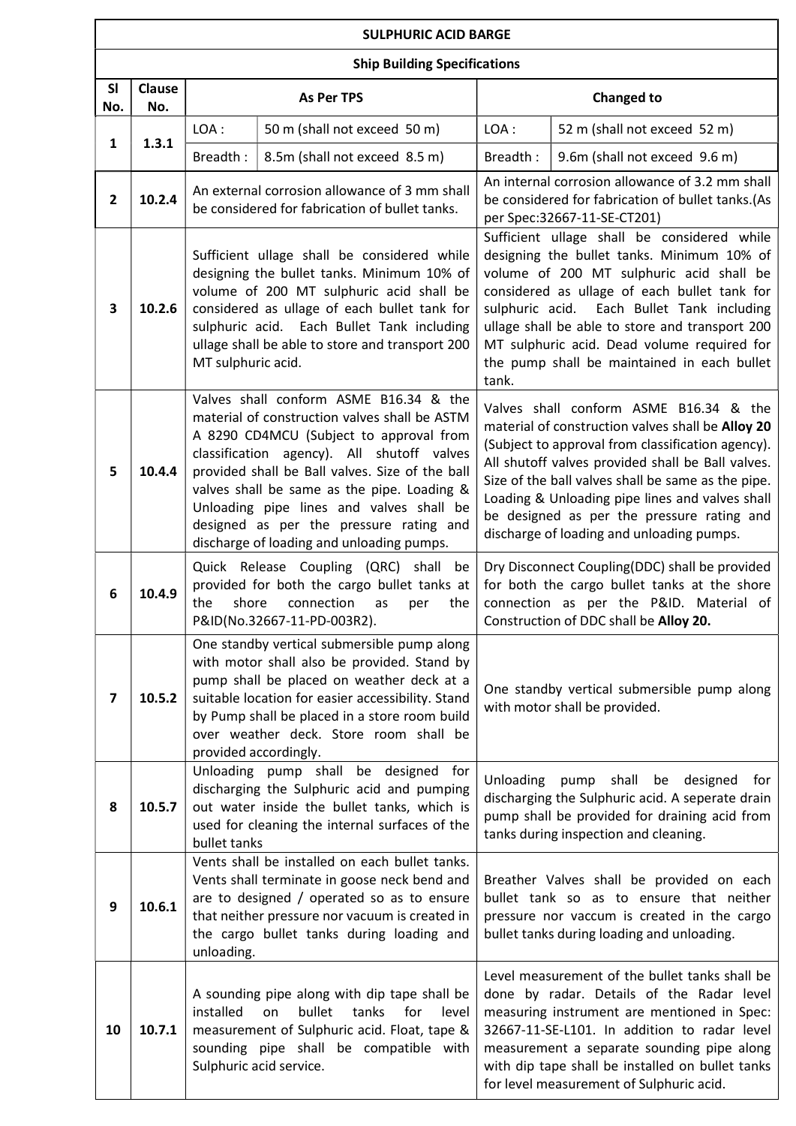## SULPHURIC ACID BARGE

|                         | <b>Ship Building Specifications</b> |                                                                                                                                                                                                                                                                                                                                                                                                                        |                                                                                                                                                                                                                                             |                                                                                                                                                                                                                                                                                                                                                                                                           |                                                                                                                                                                                                                                                                                                                                                                                      |  |  |
|-------------------------|-------------------------------------|------------------------------------------------------------------------------------------------------------------------------------------------------------------------------------------------------------------------------------------------------------------------------------------------------------------------------------------------------------------------------------------------------------------------|---------------------------------------------------------------------------------------------------------------------------------------------------------------------------------------------------------------------------------------------|-----------------------------------------------------------------------------------------------------------------------------------------------------------------------------------------------------------------------------------------------------------------------------------------------------------------------------------------------------------------------------------------------------------|--------------------------------------------------------------------------------------------------------------------------------------------------------------------------------------------------------------------------------------------------------------------------------------------------------------------------------------------------------------------------------------|--|--|
| <b>SI</b><br>No.        | Clause<br>No.                       | <b>As Per TPS</b>                                                                                                                                                                                                                                                                                                                                                                                                      |                                                                                                                                                                                                                                             | <b>Changed to</b>                                                                                                                                                                                                                                                                                                                                                                                         |                                                                                                                                                                                                                                                                                                                                                                                      |  |  |
| 1                       | 1.3.1                               | LOA:                                                                                                                                                                                                                                                                                                                                                                                                                   | 50 m (shall not exceed 50 m)                                                                                                                                                                                                                | LOA:                                                                                                                                                                                                                                                                                                                                                                                                      | 52 m (shall not exceed 52 m)                                                                                                                                                                                                                                                                                                                                                         |  |  |
|                         |                                     | Breadth:                                                                                                                                                                                                                                                                                                                                                                                                               | 8.5m (shall not exceed 8.5 m)                                                                                                                                                                                                               | Breadth:                                                                                                                                                                                                                                                                                                                                                                                                  | 9.6m (shall not exceed 9.6 m)                                                                                                                                                                                                                                                                                                                                                        |  |  |
| $\mathbf{2}$            | 10.2.4                              | An external corrosion allowance of 3 mm shall<br>be considered for fabrication of bullet tanks.                                                                                                                                                                                                                                                                                                                        |                                                                                                                                                                                                                                             | An internal corrosion allowance of 3.2 mm shall<br>be considered for fabrication of bullet tanks.(As<br>per Spec:32667-11-SE-CT201)                                                                                                                                                                                                                                                                       |                                                                                                                                                                                                                                                                                                                                                                                      |  |  |
| 3                       | 10.2.6                              | Sufficient ullage shall be considered while<br>designing the bullet tanks. Minimum 10% of<br>volume of 200 MT sulphuric acid shall be<br>considered as ullage of each bullet tank for<br>sulphuric acid. Each Bullet Tank including<br>ullage shall be able to store and transport 200<br>MT sulphuric acid.                                                                                                           |                                                                                                                                                                                                                                             | tank.                                                                                                                                                                                                                                                                                                                                                                                                     | Sufficient ullage shall be considered while<br>designing the bullet tanks. Minimum 10% of<br>volume of 200 MT sulphuric acid shall be<br>considered as ullage of each bullet tank for<br>sulphuric acid. Each Bullet Tank including<br>ullage shall be able to store and transport 200<br>MT sulphuric acid. Dead volume required for<br>the pump shall be maintained in each bullet |  |  |
| 5                       | 10.4.4                              | Valves shall conform ASME B16.34 & the<br>material of construction valves shall be ASTM<br>A 8290 CD4MCU (Subject to approval from<br>classification agency). All shutoff valves<br>provided shall be Ball valves. Size of the ball<br>valves shall be same as the pipe. Loading &<br>Unloading pipe lines and valves shall be<br>designed as per the pressure rating and<br>discharge of loading and unloading pumps. |                                                                                                                                                                                                                                             | Valves shall conform ASME B16.34 & the<br>material of construction valves shall be Alloy 20<br>(Subject to approval from classification agency).<br>All shutoff valves provided shall be Ball valves.<br>Size of the ball valves shall be same as the pipe.<br>Loading & Unloading pipe lines and valves shall<br>be designed as per the pressure rating and<br>discharge of loading and unloading pumps. |                                                                                                                                                                                                                                                                                                                                                                                      |  |  |
| 6                       | 10.4.9                              | Quick Release Coupling (QRC) shall<br>be<br>provided for both the cargo bullet tanks at<br>shore<br>the<br>connection<br>as<br>the<br>per<br>P&ID(No.32667-11-PD-003R2).                                                                                                                                                                                                                                               |                                                                                                                                                                                                                                             | Dry Disconnect Coupling(DDC) shall be provided<br>for both the cargo bullet tanks at the shore<br>connection as per the P&ID. Material of<br>Construction of DDC shall be Alloy 20.                                                                                                                                                                                                                       |                                                                                                                                                                                                                                                                                                                                                                                      |  |  |
| $\overline{\mathbf{z}}$ | 10.5.2                              | One standby vertical submersible pump along<br>with motor shall also be provided. Stand by<br>pump shall be placed on weather deck at a<br>suitable location for easier accessibility. Stand<br>by Pump shall be placed in a store room build<br>over weather deck. Store room shall be<br>provided accordingly.                                                                                                       |                                                                                                                                                                                                                                             |                                                                                                                                                                                                                                                                                                                                                                                                           | One standby vertical submersible pump along<br>with motor shall be provided.                                                                                                                                                                                                                                                                                                         |  |  |
| 8                       | 10.5.7                              | Unloading pump shall be designed<br>for<br>discharging the Sulphuric acid and pumping<br>out water inside the bullet tanks, which is<br>used for cleaning the internal surfaces of the<br>bullet tanks                                                                                                                                                                                                                 |                                                                                                                                                                                                                                             | Unloading                                                                                                                                                                                                                                                                                                                                                                                                 | pump<br>shall<br>be designed<br>for<br>discharging the Sulphuric acid. A seperate drain<br>pump shall be provided for draining acid from<br>tanks during inspection and cleaning.                                                                                                                                                                                                    |  |  |
| 9                       | 10.6.1                              | unloading.                                                                                                                                                                                                                                                                                                                                                                                                             | Vents shall be installed on each bullet tanks.<br>Vents shall terminate in goose neck bend and<br>are to designed / operated so as to ensure<br>that neither pressure nor vacuum is created in<br>the cargo bullet tanks during loading and |                                                                                                                                                                                                                                                                                                                                                                                                           | Breather Valves shall be provided on each<br>bullet tank so as to ensure that neither<br>pressure nor vaccum is created in the cargo<br>bullet tanks during loading and unloading.                                                                                                                                                                                                   |  |  |
| 10                      | 10.7.1                              | A sounding pipe along with dip tape shall be<br>installed<br>bullet<br>tanks<br>for<br>level<br>on<br>measurement of Sulphuric acid. Float, tape &<br>sounding pipe shall be compatible with<br>Sulphuric acid service.                                                                                                                                                                                                |                                                                                                                                                                                                                                             |                                                                                                                                                                                                                                                                                                                                                                                                           | Level measurement of the bullet tanks shall be<br>done by radar. Details of the Radar level<br>measuring instrument are mentioned in Spec:<br>32667-11-SE-L101. In addition to radar level<br>measurement a separate sounding pipe along<br>with dip tape shall be installed on bullet tanks<br>for level measurement of Sulphuric acid.                                             |  |  |